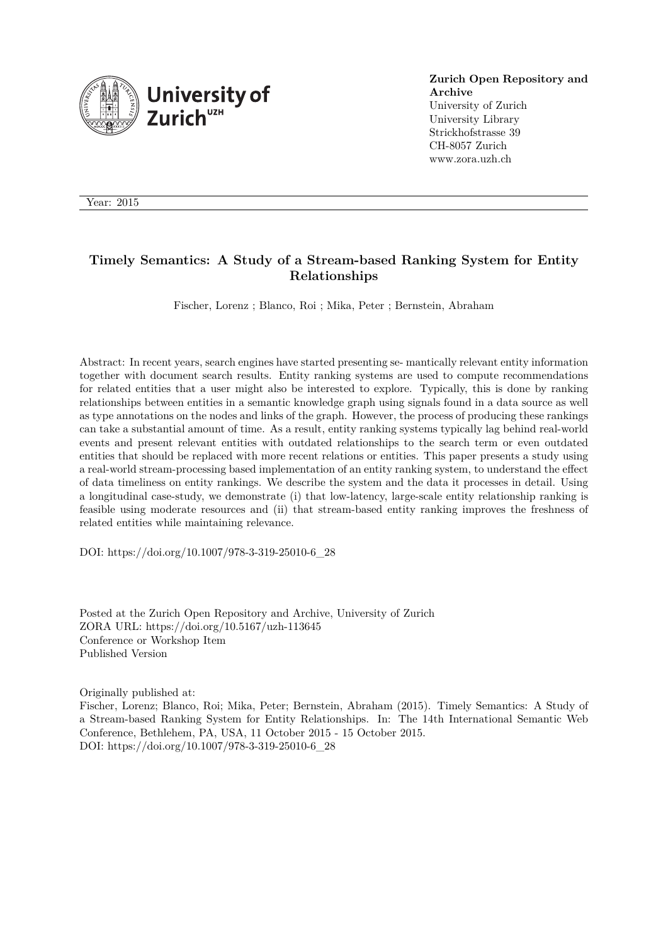

**Zurich Open Repository and Archive** University of Zurich University Library Strickhofstrasse 39 CH-8057 Zurich

www.zora.uzh.ch

Year: 2015

# **Timely Semantics: A Study of a Stream-based Ranking System for Entity Relationships**

Fischer, Lorenz ; Blanco, Roi ; Mika, Peter ; Bernstein, Abraham

Abstract: In recent years, search engines have started presenting se- mantically relevant entity information together with document search results. Entity ranking systems are used to compute recommendations for related entities that a user might also be interested to explore. Typically, this is done by ranking relationships between entities in a semantic knowledge graph using signals found in a data source as well as type annotations on the nodes and links of the graph. However, the process of producing these rankings can take a substantial amount of time. As a result, entity ranking systems typically lag behind real-world events and present relevant entities with outdated relationships to the search term or even outdated entities that should be replaced with more recent relations or entities. This paper presents a study using a real-world stream-processing based implementation of an entity ranking system, to understand the effect of data timeliness on entity rankings. We describe the system and the data it processes in detail. Using a longitudinal case-study, we demonstrate (i) that low-latency, large-scale entity relationship ranking is feasible using moderate resources and (ii) that stream-based entity ranking improves the freshness of related entities while maintaining relevance.

DOI: https://doi.org/10.1007/978-3-319-25010-6\_28

Posted at the Zurich Open Repository and Archive, University of Zurich ZORA URL: https://doi.org/10.5167/uzh-113645 Conference or Workshop Item Published Version

Originally published at:

Fischer, Lorenz; Blanco, Roi; Mika, Peter; Bernstein, Abraham (2015). Timely Semantics: A Study of a Stream-based Ranking System for Entity Relationships. In: The 14th International Semantic Web Conference, Bethlehem, PA, USA, 11 October 2015 - 15 October 2015. DOI: https://doi.org/10.1007/978-3-319-25010-6\_28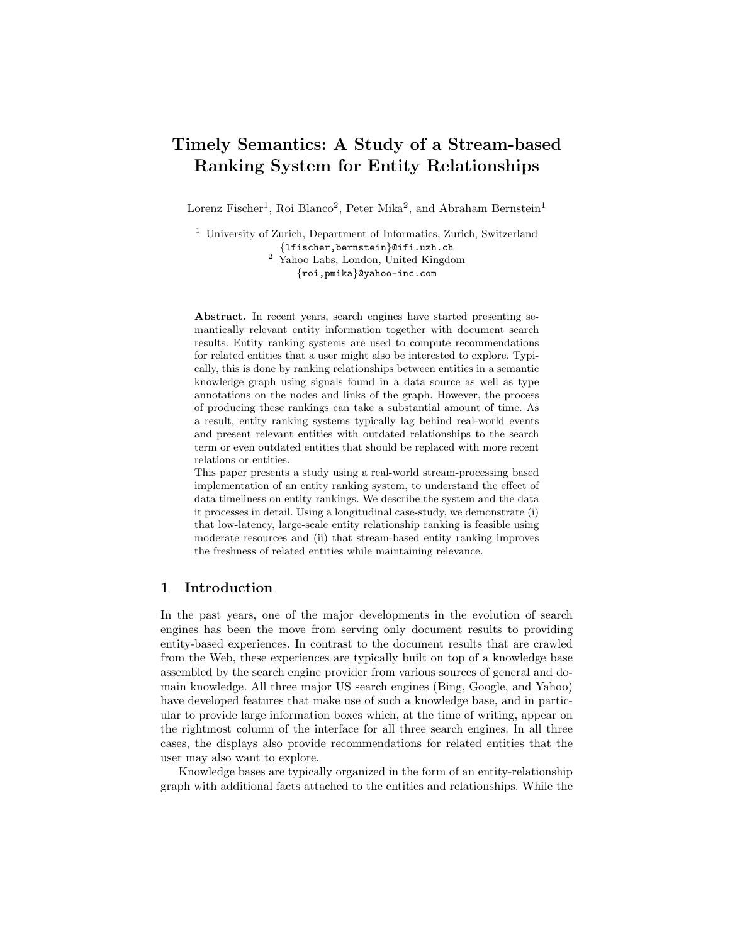# Timely Semantics: A Study of a Stream-based Ranking System for Entity Relationships

Lorenz Fischer<sup>1</sup>, Roi Blanco<sup>2</sup>, Peter Mika<sup>2</sup>, and Abraham Bernstein<sup>1</sup>

<sup>1</sup> University of Zurich, Department of Informatics, Zurich, Switzerland

{lfischer,bernstein}@ifi.uzh.ch

<sup>2</sup> Yahoo Labs, London, United Kingdom {roi,pmika}@yahoo-inc.com

Abstract. In recent years, search engines have started presenting semantically relevant entity information together with document search results. Entity ranking systems are used to compute recommendations for related entities that a user might also be interested to explore. Typically, this is done by ranking relationships between entities in a semantic knowledge graph using signals found in a data source as well as type annotations on the nodes and links of the graph. However, the process of producing these rankings can take a substantial amount of time. As a result, entity ranking systems typically lag behind real-world events and present relevant entities with outdated relationships to the search term or even outdated entities that should be replaced with more recent relations or entities.

This paper presents a study using a real-world stream-processing based implementation of an entity ranking system, to understand the effect of data timeliness on entity rankings. We describe the system and the data it processes in detail. Using a longitudinal case-study, we demonstrate (i) that low-latency, large-scale entity relationship ranking is feasible using moderate resources and (ii) that stream-based entity ranking improves the freshness of related entities while maintaining relevance.

# 1 Introduction

In the past years, one of the major developments in the evolution of search engines has been the move from serving only document results to providing entity-based experiences. In contrast to the document results that are crawled from the Web, these experiences are typically built on top of a knowledge base assembled by the search engine provider from various sources of general and domain knowledge. All three major US search engines (Bing, Google, and Yahoo) have developed features that make use of such a knowledge base, and in particular to provide large information boxes which, at the time of writing, appear on the rightmost column of the interface for all three search engines. In all three cases, the displays also provide recommendations for related entities that the user may also want to explore.

Knowledge bases are typically organized in the form of an entity-relationship graph with additional facts attached to the entities and relationships. While the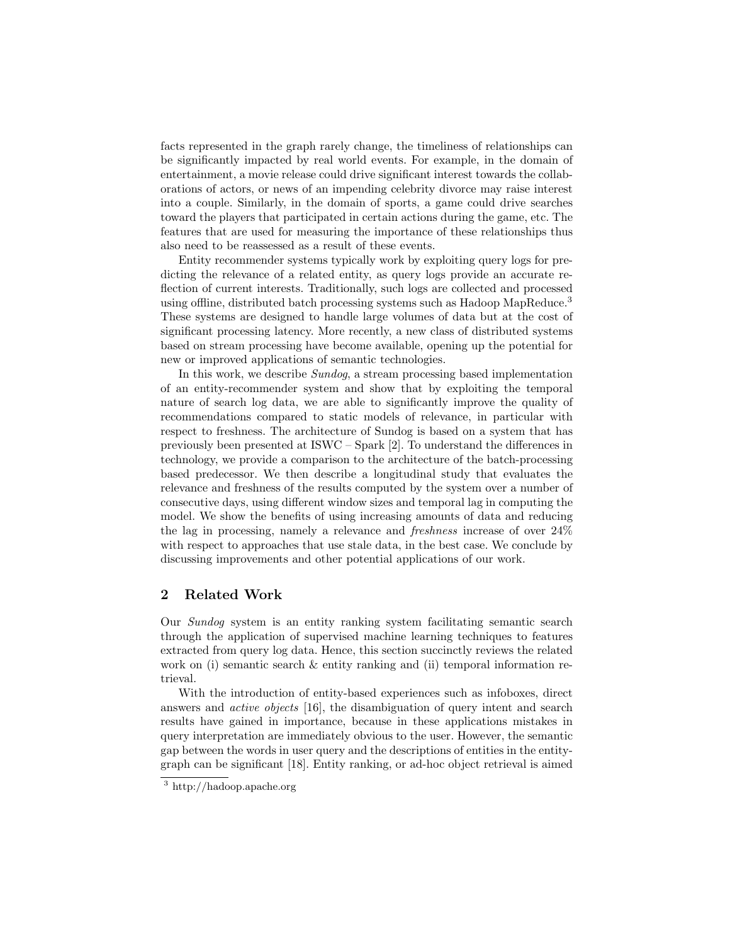facts represented in the graph rarely change, the timeliness of relationships can be significantly impacted by real world events. For example, in the domain of entertainment, a movie release could drive significant interest towards the collaborations of actors, or news of an impending celebrity divorce may raise interest into a couple. Similarly, in the domain of sports, a game could drive searches toward the players that participated in certain actions during the game, etc. The features that are used for measuring the importance of these relationships thus also need to be reassessed as a result of these events.

Entity recommender systems typically work by exploiting query logs for predicting the relevance of a related entity, as query logs provide an accurate reflection of current interests. Traditionally, such logs are collected and processed using offline, distributed batch processing systems such as Hadoop MapReduce.<sup>3</sup> These systems are designed to handle large volumes of data but at the cost of significant processing latency. More recently, a new class of distributed systems based on stream processing have become available, opening up the potential for new or improved applications of semantic technologies.

In this work, we describe Sundog, a stream processing based implementation of an entity-recommender system and show that by exploiting the temporal nature of search log data, we are able to significantly improve the quality of recommendations compared to static models of relevance, in particular with respect to freshness. The architecture of Sundog is based on a system that has previously been presented at ISWC – Spark [2]. To understand the differences in technology, we provide a comparison to the architecture of the batch-processing based predecessor. We then describe a longitudinal study that evaluates the relevance and freshness of the results computed by the system over a number of consecutive days, using different window sizes and temporal lag in computing the model. We show the benefits of using increasing amounts of data and reducing the lag in processing, namely a relevance and freshness increase of over 24% with respect to approaches that use stale data, in the best case. We conclude by discussing improvements and other potential applications of our work.

# 2 Related Work

Our Sundog system is an entity ranking system facilitating semantic search through the application of supervised machine learning techniques to features extracted from query log data. Hence, this section succinctly reviews the related work on (i) semantic search  $\&$  entity ranking and (ii) temporal information retrieval.

With the introduction of entity-based experiences such as infoboxes, direct answers and active objects [16], the disambiguation of query intent and search results have gained in importance, because in these applications mistakes in query interpretation are immediately obvious to the user. However, the semantic gap between the words in user query and the descriptions of entities in the entitygraph can be significant [18]. Entity ranking, or ad-hoc object retrieval is aimed

<sup>3</sup> http://hadoop.apache.org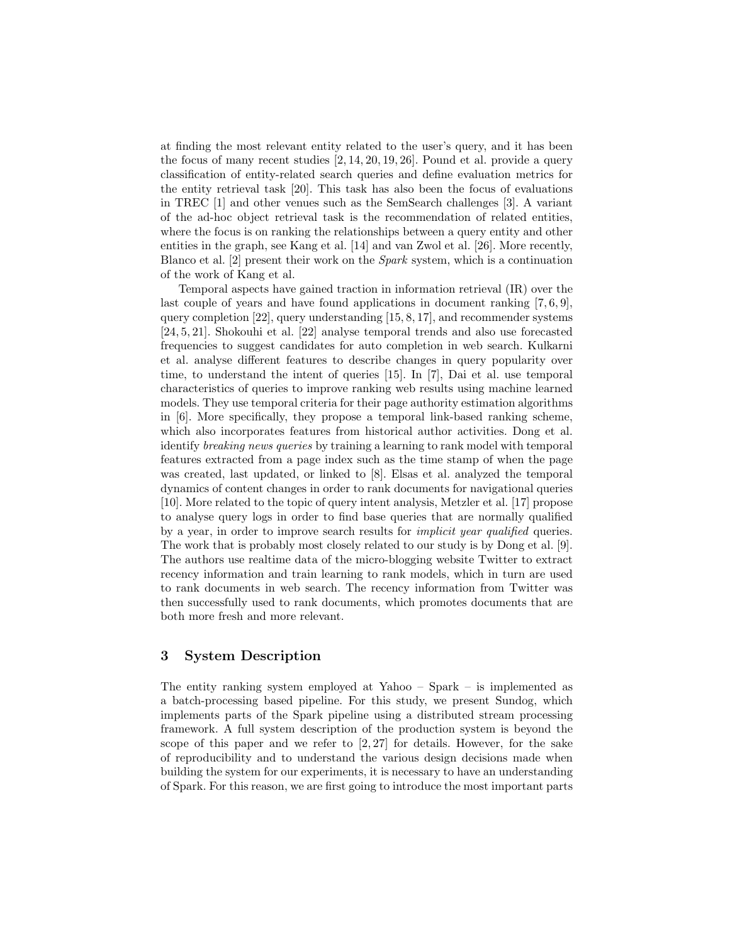at finding the most relevant entity related to the user's query, and it has been the focus of many recent studies [2, 14, 20, 19, 26]. Pound et al. provide a query classification of entity-related search queries and define evaluation metrics for the entity retrieval task [20]. This task has also been the focus of evaluations in TREC [1] and other venues such as the SemSearch challenges [3]. A variant of the ad-hoc object retrieval task is the recommendation of related entities, where the focus is on ranking the relationships between a query entity and other entities in the graph, see Kang et al. [14] and van Zwol et al. [26]. More recently, Blanco et al. [2] present their work on the Spark system, which is a continuation of the work of Kang et al.

Temporal aspects have gained traction in information retrieval (IR) over the last couple of years and have found applications in document ranking [7, 6, 9], query completion [22], query understanding [15, 8, 17], and recommender systems [24, 5, 21]. Shokouhi et al. [22] analyse temporal trends and also use forecasted frequencies to suggest candidates for auto completion in web search. Kulkarni et al. analyse different features to describe changes in query popularity over time, to understand the intent of queries [15]. In [7], Dai et al. use temporal characteristics of queries to improve ranking web results using machine learned models. They use temporal criteria for their page authority estimation algorithms in [6]. More specifically, they propose a temporal link-based ranking scheme, which also incorporates features from historical author activities. Dong et al. identify breaking news queries by training a learning to rank model with temporal features extracted from a page index such as the time stamp of when the page was created, last updated, or linked to [8]. Elsas et al. analyzed the temporal dynamics of content changes in order to rank documents for navigational queries [10]. More related to the topic of query intent analysis, Metzler et al. [17] propose to analyse query logs in order to find base queries that are normally qualified by a year, in order to improve search results for implicit year qualified queries. The work that is probably most closely related to our study is by Dong et al. [9]. The authors use realtime data of the micro-blogging website Twitter to extract recency information and train learning to rank models, which in turn are used to rank documents in web search. The recency information from Twitter was then successfully used to rank documents, which promotes documents that are both more fresh and more relevant.

# 3 System Description

The entity ranking system employed at Yahoo – Spark – is implemented as a batch-processing based pipeline. For this study, we present Sundog, which implements parts of the Spark pipeline using a distributed stream processing framework. A full system description of the production system is beyond the scope of this paper and we refer to  $[2, 27]$  for details. However, for the sake of reproducibility and to understand the various design decisions made when building the system for our experiments, it is necessary to have an understanding of Spark. For this reason, we are first going to introduce the most important parts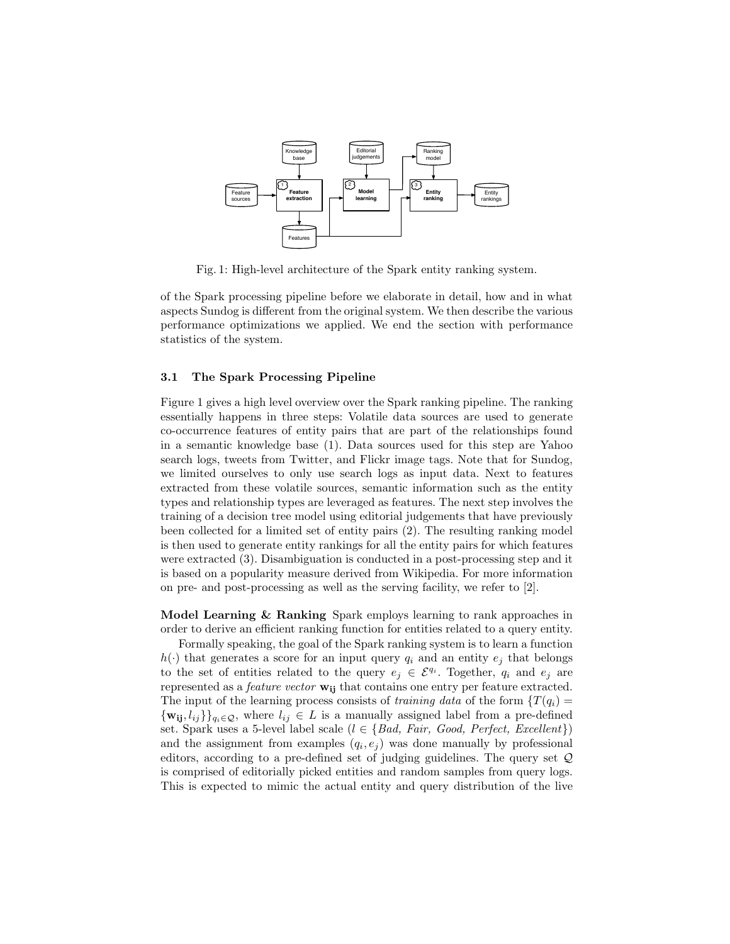

Fig. 1: High-level architecture of the Spark entity ranking system.

of the Spark processing pipeline before we elaborate in detail, how and in what aspects Sundog is different from the original system. We then describe the various performance optimizations we applied. We end the section with performance statistics of the system.

#### 3.1 The Spark Processing Pipeline

Figure 1 gives a high level overview over the Spark ranking pipeline. The ranking essentially happens in three steps: Volatile data sources are used to generate co-occurrence features of entity pairs that are part of the relationships found in a semantic knowledge base (1). Data sources used for this step are Yahoo search logs, tweets from Twitter, and Flickr image tags. Note that for Sundog, we limited ourselves to only use search logs as input data. Next to features extracted from these volatile sources, semantic information such as the entity types and relationship types are leveraged as features. The next step involves the training of a decision tree model using editorial judgements that have previously been collected for a limited set of entity pairs (2). The resulting ranking model is then used to generate entity rankings for all the entity pairs for which features were extracted (3). Disambiguation is conducted in a post-processing step and it is based on a popularity measure derived from Wikipedia. For more information on pre- and post-processing as well as the serving facility, we refer to [2].

Model Learning & Ranking Spark employs learning to rank approaches in order to derive an efficient ranking function for entities related to a query entity.

Formally speaking, the goal of the Spark ranking system is to learn a function  $h(\cdot)$  that generates a score for an input query  $q_i$  and an entity  $e_i$  that belongs to the set of entities related to the query  $e_j \in \mathcal{E}^{q_i}$ . Together,  $q_i$  and  $e_j$  are represented as a *feature vector*  $\mathbf{w}_{ij}$  that contains one entry per feature extracted. The input of the learning process consists of training data of the form  $\{T(q_i) =$  ${\bf w}_{ij}, l_{ij}$ } $_{q_i \in \mathcal{Q}}$ , where  $l_{ij} \in L$  is a manually assigned label from a pre-defined set. Spark uses a 5-level label scale ( $l \in \{Bad, Fair, Good, Perfect, Excellent\})$ and the assignment from examples  $(q_i, e_j)$  was done manually by professional editors, according to a pre-defined set of judging guidelines. The query set Q is comprised of editorially picked entities and random samples from query logs. This is expected to mimic the actual entity and query distribution of the live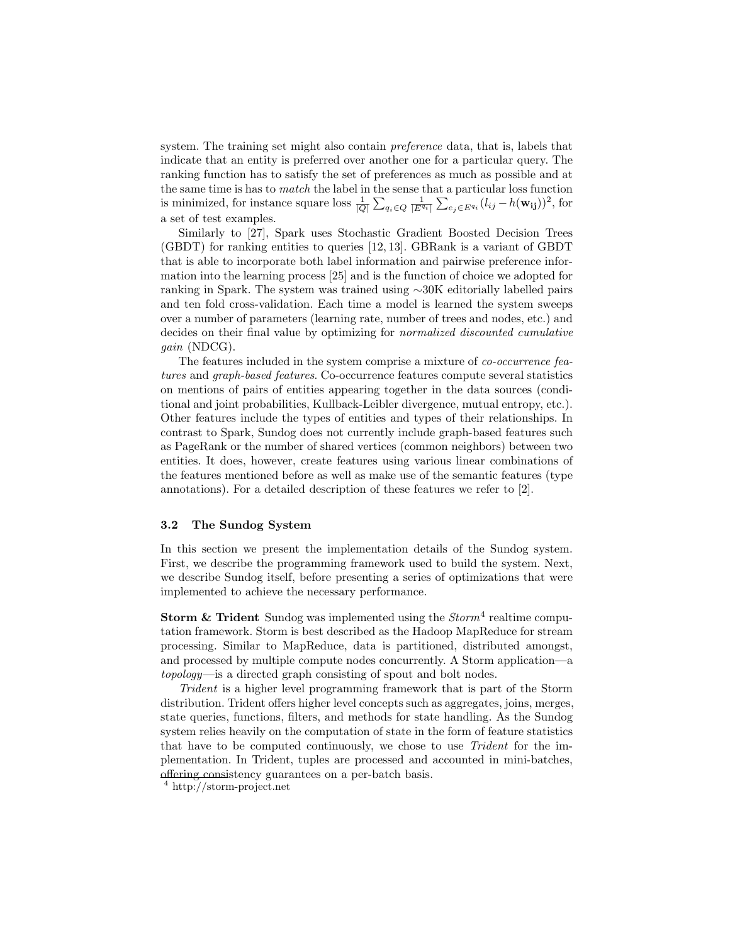system. The training set might also contain *preference* data, that is, labels that indicate that an entity is preferred over another one for a particular query. The ranking function has to satisfy the set of preferences as much as possible and at the same time is has to match the label in the sense that a particular loss function is minimized, for instance square loss  $\frac{1}{|Q|} \sum_{q_i \in Q}$  $\frac{1}{|E^{q_i}|}\sum_{e_j\in E^{q_i}}(l_{ij}-h(\mathbf{w_{ij}}))^2$ , for a set of test examples.

Similarly to [27], Spark uses Stochastic Gradient Boosted Decision Trees (GBDT) for ranking entities to queries [12, 13]. GBRank is a variant of GBDT that is able to incorporate both label information and pairwise preference information into the learning process [25] and is the function of choice we adopted for ranking in Spark. The system was trained using ∼30K editorially labelled pairs and ten fold cross-validation. Each time a model is learned the system sweeps over a number of parameters (learning rate, number of trees and nodes, etc.) and decides on their final value by optimizing for normalized discounted cumulative gain (NDCG).

The features included in the system comprise a mixture of *co-occurrence fea*tures and graph-based features. Co-occurrence features compute several statistics on mentions of pairs of entities appearing together in the data sources (conditional and joint probabilities, Kullback-Leibler divergence, mutual entropy, etc.). Other features include the types of entities and types of their relationships. In contrast to Spark, Sundog does not currently include graph-based features such as PageRank or the number of shared vertices (common neighbors) between two entities. It does, however, create features using various linear combinations of the features mentioned before as well as make use of the semantic features (type annotations). For a detailed description of these features we refer to [2].

#### 3.2 The Sundog System

In this section we present the implementation details of the Sundog system. First, we describe the programming framework used to build the system. Next, we describe Sundog itself, before presenting a series of optimizations that were implemented to achieve the necessary performance.

**Storm & Trident** Sundog was implemented using the  $Storm<sup>4</sup>$  realtime computation framework. Storm is best described as the Hadoop MapReduce for stream processing. Similar to MapReduce, data is partitioned, distributed amongst, and processed by multiple compute nodes concurrently. A Storm application—a topology—is a directed graph consisting of spout and bolt nodes.

Trident is a higher level programming framework that is part of the Storm distribution. Trident offers higher level concepts such as aggregates, joins, merges, state queries, functions, filters, and methods for state handling. As the Sundog system relies heavily on the computation of state in the form of feature statistics that have to be computed continuously, we chose to use Trident for the implementation. In Trident, tuples are processed and accounted in mini-batches, offering consistency guarantees on a per-batch basis.

<sup>4</sup> http://storm-project.net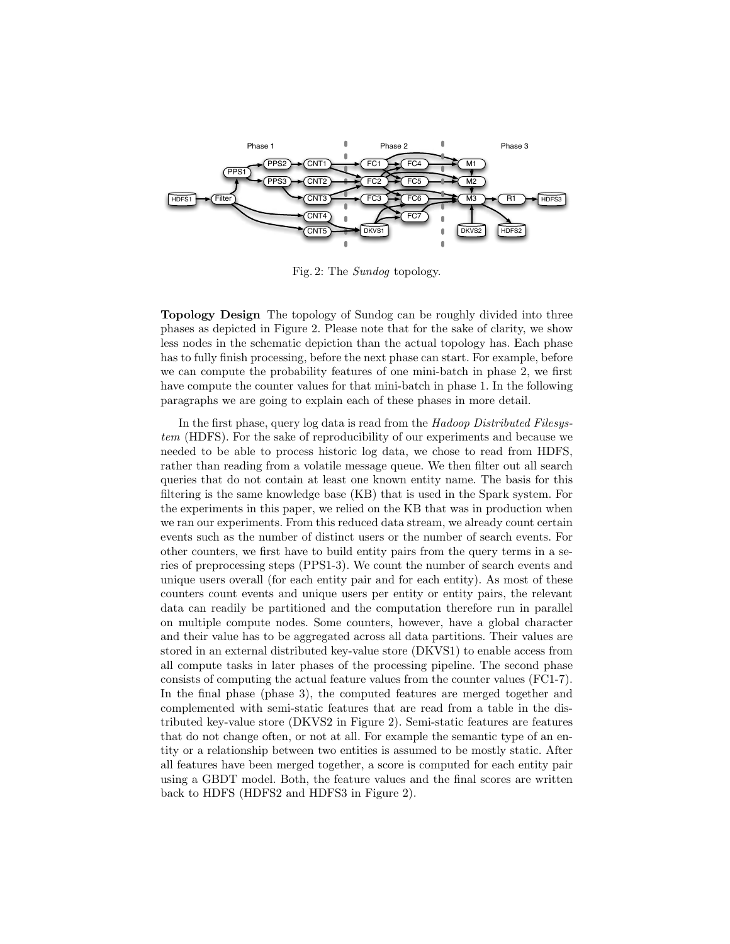

Fig. 2: The Sundog topology.

Topology Design The topology of Sundog can be roughly divided into three phases as depicted in Figure 2. Please note that for the sake of clarity, we show less nodes in the schematic depiction than the actual topology has. Each phase has to fully finish processing, before the next phase can start. For example, before we can compute the probability features of one mini-batch in phase 2, we first have compute the counter values for that mini-batch in phase 1. In the following paragraphs we are going to explain each of these phases in more detail.

In the first phase, query log data is read from the Hadoop Distributed Filesystem (HDFS). For the sake of reproducibility of our experiments and because we needed to be able to process historic log data, we chose to read from HDFS, rather than reading from a volatile message queue. We then filter out all search queries that do not contain at least one known entity name. The basis for this filtering is the same knowledge base (KB) that is used in the Spark system. For the experiments in this paper, we relied on the KB that was in production when we ran our experiments. From this reduced data stream, we already count certain events such as the number of distinct users or the number of search events. For other counters, we first have to build entity pairs from the query terms in a series of preprocessing steps (PPS1-3). We count the number of search events and unique users overall (for each entity pair and for each entity). As most of these counters count events and unique users per entity or entity pairs, the relevant data can readily be partitioned and the computation therefore run in parallel on multiple compute nodes. Some counters, however, have a global character and their value has to be aggregated across all data partitions. Their values are stored in an external distributed key-value store (DKVS1) to enable access from all compute tasks in later phases of the processing pipeline. The second phase consists of computing the actual feature values from the counter values (FC1-7). In the final phase (phase 3), the computed features are merged together and complemented with semi-static features that are read from a table in the distributed key-value store (DKVS2 in Figure 2). Semi-static features are features that do not change often, or not at all. For example the semantic type of an entity or a relationship between two entities is assumed to be mostly static. After all features have been merged together, a score is computed for each entity pair using a GBDT model. Both, the feature values and the final scores are written back to HDFS (HDFS2 and HDFS3 in Figure 2).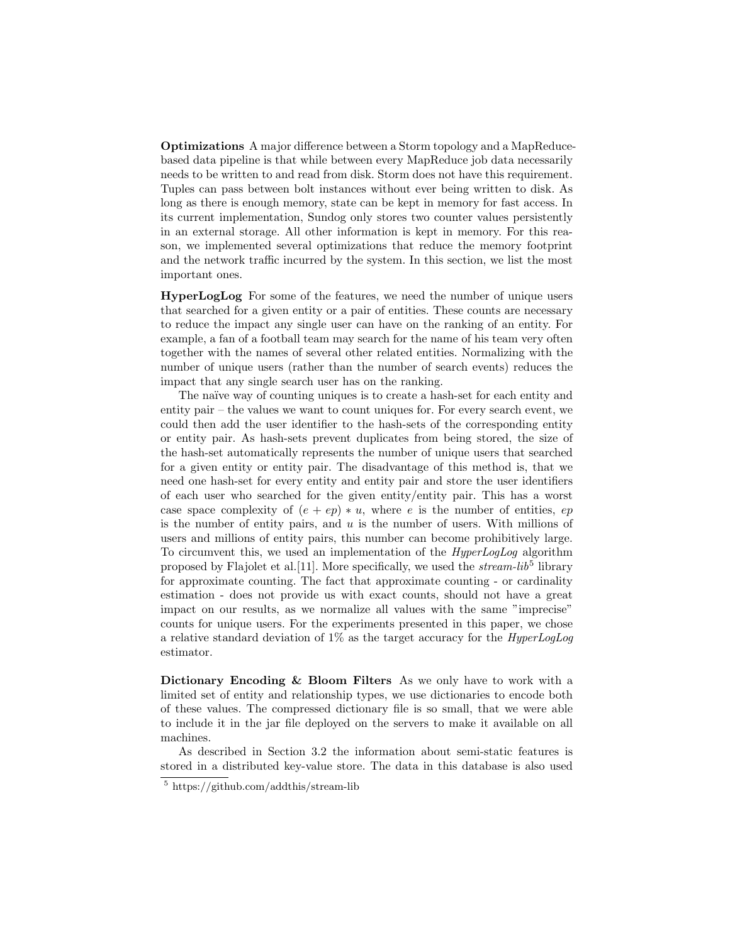Optimizations A major difference between a Storm topology and a MapReducebased data pipeline is that while between every MapReduce job data necessarily needs to be written to and read from disk. Storm does not have this requirement. Tuples can pass between bolt instances without ever being written to disk. As long as there is enough memory, state can be kept in memory for fast access. In its current implementation, Sundog only stores two counter values persistently in an external storage. All other information is kept in memory. For this reason, we implemented several optimizations that reduce the memory footprint and the network traffic incurred by the system. In this section, we list the most important ones.

HyperLogLog For some of the features, we need the number of unique users that searched for a given entity or a pair of entities. These counts are necessary to reduce the impact any single user can have on the ranking of an entity. For example, a fan of a football team may search for the name of his team very often together with the names of several other related entities. Normalizing with the number of unique users (rather than the number of search events) reduces the impact that any single search user has on the ranking.

The naïve way of counting uniques is to create a hash-set for each entity and entity pair – the values we want to count uniques for. For every search event, we could then add the user identifier to the hash-sets of the corresponding entity or entity pair. As hash-sets prevent duplicates from being stored, the size of the hash-set automatically represents the number of unique users that searched for a given entity or entity pair. The disadvantage of this method is, that we need one hash-set for every entity and entity pair and store the user identifiers of each user who searched for the given entity/entity pair. This has a worst case space complexity of  $(e + ep) * u$ , where e is the number of entities, ep is the number of entity pairs, and  $u$  is the number of users. With millions of users and millions of entity pairs, this number can become prohibitively large. To circumvent this, we used an implementation of the *HyperLogLog* algorithm proposed by Flajolet et al. [11]. More specifically, we used the *stream-lib*<sup>5</sup> library for approximate counting. The fact that approximate counting - or cardinality estimation - does not provide us with exact counts, should not have a great impact on our results, as we normalize all values with the same "imprecise" counts for unique users. For the experiments presented in this paper, we chose a relative standard deviation of  $1\%$  as the target accuracy for the *HyperLogLog* estimator.

Dictionary Encoding & Bloom Filters As we only have to work with a limited set of entity and relationship types, we use dictionaries to encode both of these values. The compressed dictionary file is so small, that we were able to include it in the jar file deployed on the servers to make it available on all machines.

As described in Section 3.2 the information about semi-static features is stored in a distributed key-value store. The data in this database is also used

<sup>5</sup> https://github.com/addthis/stream-lib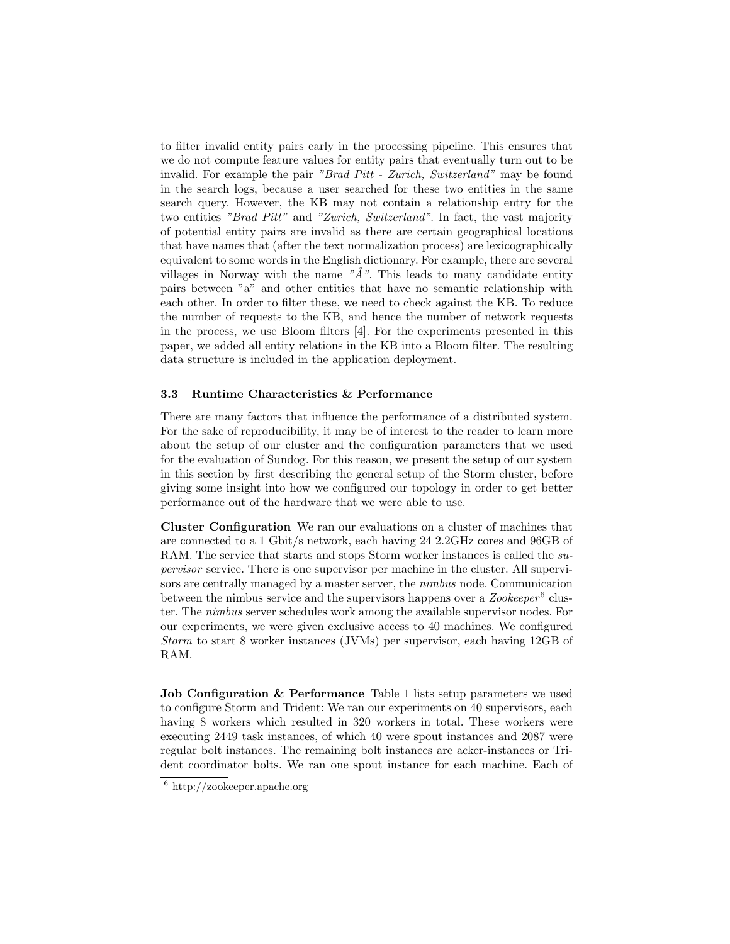to filter invalid entity pairs early in the processing pipeline. This ensures that we do not compute feature values for entity pairs that eventually turn out to be invalid. For example the pair "Brad Pitt - Zurich, Switzerland" may be found in the search logs, because a user searched for these two entities in the same search query. However, the KB may not contain a relationship entry for the two entities "Brad Pitt" and "Zurich, Switzerland". In fact, the vast majority of potential entity pairs are invalid as there are certain geographical locations that have names that (after the text normalization process) are lexicographically equivalent to some words in the English dictionary. For example, there are several villages in Norway with the name  $\mathbb{A}^n$ . This leads to many candidate entity pairs between "a" and other entities that have no semantic relationship with each other. In order to filter these, we need to check against the KB. To reduce the number of requests to the KB, and hence the number of network requests in the process, we use Bloom filters [4]. For the experiments presented in this paper, we added all entity relations in the KB into a Bloom filter. The resulting data structure is included in the application deployment.

#### 3.3 Runtime Characteristics & Performance

There are many factors that influence the performance of a distributed system. For the sake of reproducibility, it may be of interest to the reader to learn more about the setup of our cluster and the configuration parameters that we used for the evaluation of Sundog. For this reason, we present the setup of our system in this section by first describing the general setup of the Storm cluster, before giving some insight into how we configured our topology in order to get better performance out of the hardware that we were able to use.

Cluster Configuration We ran our evaluations on a cluster of machines that are connected to a 1 Gbit/s network, each having 24 2.2GHz cores and 96GB of RAM. The service that starts and stops Storm worker instances is called the  $su$ pervisor service. There is one supervisor per machine in the cluster. All supervisors are centrally managed by a master server, the nimbus node. Communication between the nimbus service and the supervisors happens over a  $Zookeeper^6$  cluster. The nimbus server schedules work among the available supervisor nodes. For our experiments, we were given exclusive access to 40 machines. We configured Storm to start 8 worker instances (JVMs) per supervisor, each having 12GB of RAM.

Job Configuration & Performance Table 1 lists setup parameters we used to configure Storm and Trident: We ran our experiments on 40 supervisors, each having 8 workers which resulted in 320 workers in total. These workers were executing 2449 task instances, of which 40 were spout instances and 2087 were regular bolt instances. The remaining bolt instances are acker-instances or Trident coordinator bolts. We ran one spout instance for each machine. Each of

<sup>6</sup> http://zookeeper.apache.org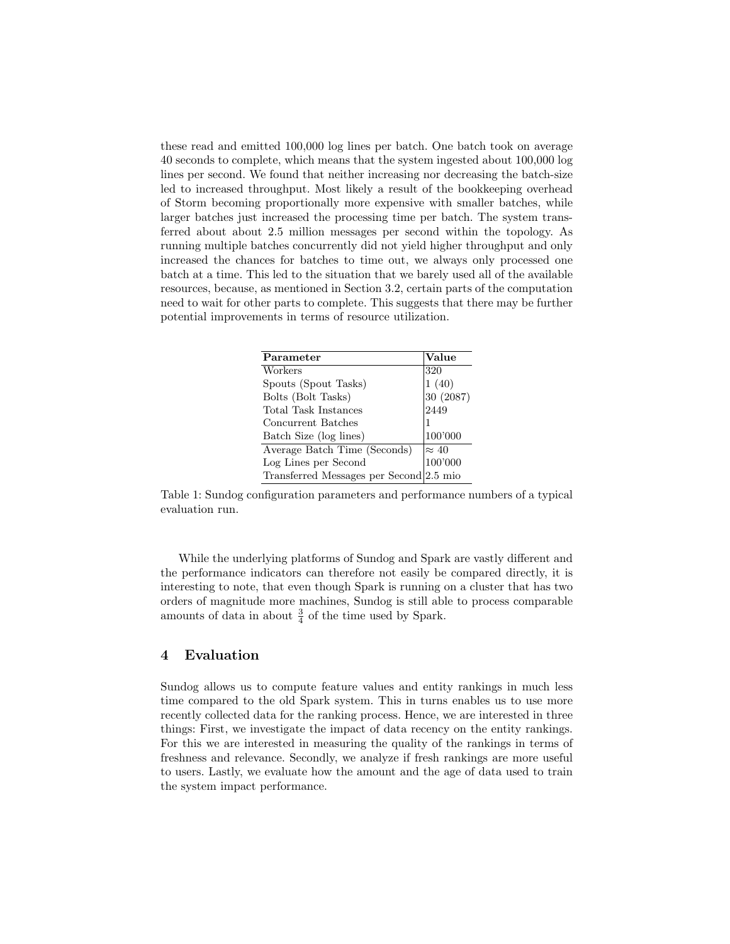these read and emitted 100,000 log lines per batch. One batch took on average 40 seconds to complete, which means that the system ingested about 100,000 log lines per second. We found that neither increasing nor decreasing the batch-size led to increased throughput. Most likely a result of the bookkeeping overhead of Storm becoming proportionally more expensive with smaller batches, while larger batches just increased the processing time per batch. The system transferred about about 2.5 million messages per second within the topology. As running multiple batches concurrently did not yield higher throughput and only increased the chances for batches to time out, we always only processed one batch at a time. This led to the situation that we barely used all of the available resources, because, as mentioned in Section 3.2, certain parts of the computation need to wait for other parts to complete. This suggests that there may be further potential improvements in terms of resource utilization.

| Parameter                               | Value        |
|-----------------------------------------|--------------|
| Workers                                 | 320          |
| Spouts (Spout Tasks)                    | 1(40)        |
| Bolts (Bolt Tasks)                      | 30 (2087)    |
| <b>Total Task Instances</b>             | 2449         |
| Concurrent Batches                      |              |
| Batch Size (log lines)                  | 100'000      |
| Average Batch Time (Seconds)            | $\approx 40$ |
| Log Lines per Second                    | 100'000      |
| Transferred Messages per Second 2.5 mio |              |

Table 1: Sundog configuration parameters and performance numbers of a typical evaluation run.

While the underlying platforms of Sundog and Spark are vastly different and the performance indicators can therefore not easily be compared directly, it is interesting to note, that even though Spark is running on a cluster that has two orders of magnitude more machines, Sundog is still able to process comparable amounts of data in about  $\frac{3}{4}$  of the time used by Spark.

# 4 Evaluation

Sundog allows us to compute feature values and entity rankings in much less time compared to the old Spark system. This in turns enables us to use more recently collected data for the ranking process. Hence, we are interested in three things: First, we investigate the impact of data recency on the entity rankings. For this we are interested in measuring the quality of the rankings in terms of freshness and relevance. Secondly, we analyze if fresh rankings are more useful to users. Lastly, we evaluate how the amount and the age of data used to train the system impact performance.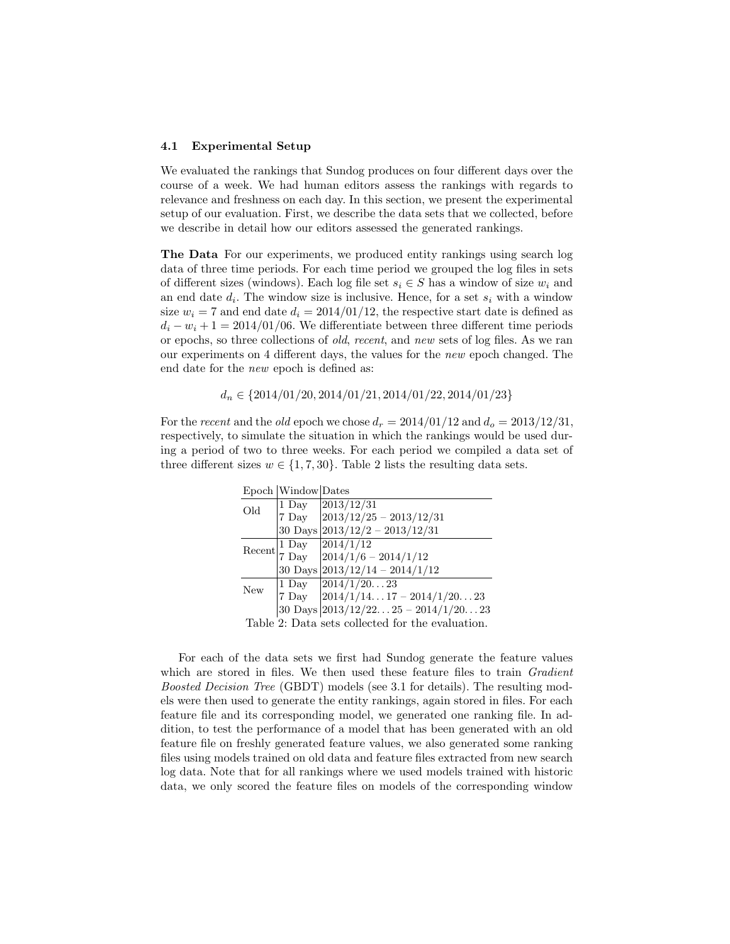#### 4.1 Experimental Setup

We evaluated the rankings that Sundog produces on four different days over the course of a week. We had human editors assess the rankings with regards to relevance and freshness on each day. In this section, we present the experimental setup of our evaluation. First, we describe the data sets that we collected, before we describe in detail how our editors assessed the generated rankings.

The Data For our experiments, we produced entity rankings using search log data of three time periods. For each time period we grouped the log files in sets of different sizes (windows). Each log file set  $s_i \in S$  has a window of size  $w_i$  and an end date  $d_i$ . The window size is inclusive. Hence, for a set  $s_i$  with a window size  $w_i = 7$  and end date  $d_i = 2014/01/12$ , the respective start date is defined as  $d_i - w_i + 1 = 2014/01/06$ . We differentiate between three different time periods or epochs, so three collections of old, recent, and new sets of log files. As we ran our experiments on 4 different days, the values for the new epoch changed. The end date for the new epoch is defined as:

$$
d_n \in \{2014/01/20, 2014/01/21, 2014/01/22, 2014/01/23\}
$$

For the recent and the old epoch we chose  $d_r = 2014/01/12$  and  $d_o = 2013/12/31$ , respectively, to simulate the situation in which the rankings would be used during a period of two to three weeks. For each period we compiled a data set of three different sizes  $w \in \{1, 7, 30\}$ . Table 2 lists the resulting data sets.

|            | Epoch   Window   Dates |                                                                 |
|------------|------------------------|-----------------------------------------------------------------|
| Old        |                        | $1 \text{ Day}$ 2013/12/31                                      |
|            | 7 Day                  | $ 2013/12/25 - 2013/12/31$                                      |
|            |                        | 30 Days $\left  \frac{2013}{12/2} - \frac{2013}{12/31} \right $ |
| Recent     | $ 1 \text{ Day}$       | 2014/1/12                                                       |
|            | 7 Day                  | $ 2014/1/6 - 2014/1/12 $                                        |
|            |                        | 30 Days $\frac{2013}{12}$ /14 - 2014/1/12                       |
| <b>New</b> | 1 Day                  | 2014/1/2023                                                     |
|            | 7 Day                  | $ 2014/1/1417-2014/1/2023 $                                     |
|            |                        | $ 30 \text{ Days} 2013/12/2225 - 2014/1/2023$                   |
|            |                        | Table 2: Data sets collected for the evaluation.                |

For each of the data sets we first had Sundog generate the feature values which are stored in files. We then used these feature files to train *Gradient* Boosted Decision Tree (GBDT) models (see 3.1 for details). The resulting models were then used to generate the entity rankings, again stored in files. For each feature file and its corresponding model, we generated one ranking file. In addition, to test the performance of a model that has been generated with an old feature file on freshly generated feature values, we also generated some ranking files using models trained on old data and feature files extracted from new search log data. Note that for all rankings where we used models trained with historic data, we only scored the feature files on models of the corresponding window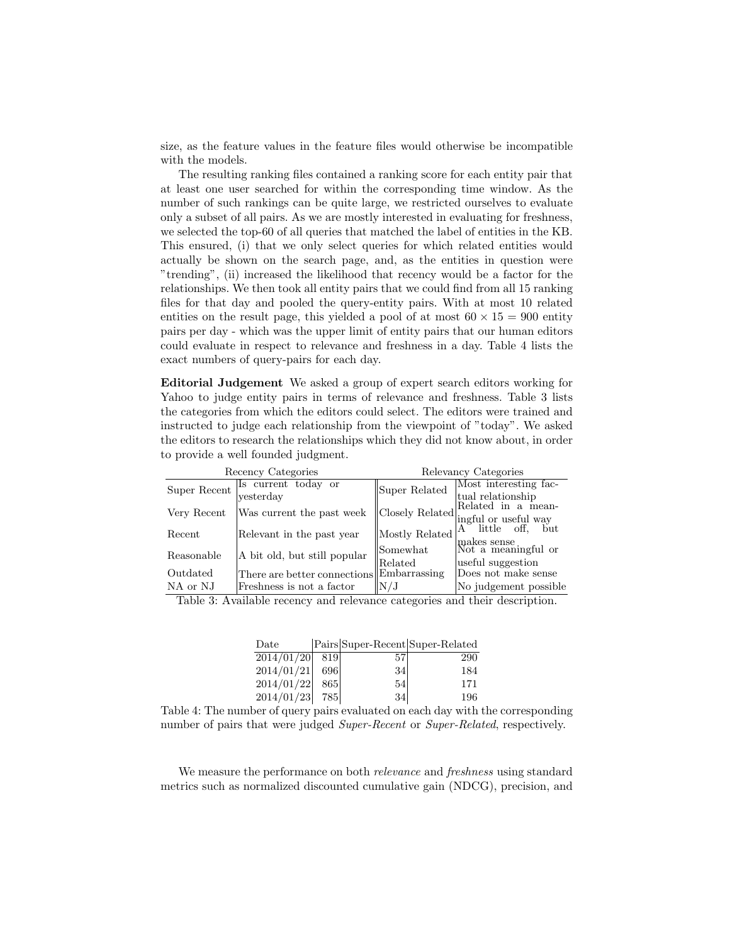size, as the feature values in the feature files would otherwise be incompatible with the models.

The resulting ranking files contained a ranking score for each entity pair that at least one user searched for within the corresponding time window. As the number of such rankings can be quite large, we restricted ourselves to evaluate only a subset of all pairs. As we are mostly interested in evaluating for freshness, we selected the top-60 of all queries that matched the label of entities in the KB. This ensured, (i) that we only select queries for which related entities would actually be shown on the search page, and, as the entities in question were "trending", (ii) increased the likelihood that recency would be a factor for the relationships. We then took all entity pairs that we could find from all 15 ranking files for that day and pooled the query-entity pairs. With at most 10 related entities on the result page, this yielded a pool of at most  $60 \times 15 = 900$  entity pairs per day - which was the upper limit of entity pairs that our human editors could evaluate in respect to relevance and freshness in a day. Table 4 lists the exact numbers of query-pairs for each day.

Editorial Judgement We asked a group of expert search editors working for Yahoo to judge entity pairs in terms of relevance and freshness. Table 3 lists the categories from which the editors could select. The editors were trained and instructed to judge each relationship from the viewpoint of "today". We asked the editors to research the relationships which they did not know about, in order to provide a well founded judgment.

|                                            | Recency Categories           | Relevancy Categories               |                                            |  |
|--------------------------------------------|------------------------------|------------------------------------|--------------------------------------------|--|
| Super Recent                               | Is current today or          | Super Related                      | Most interesting fac-                      |  |
|                                            | vesterday                    |                                    | tual relationship<br>Related in a mean-    |  |
| Very Recent                                | Was current the past week    | Closely Related                    |                                            |  |
|                                            |                              |                                    | ingful or useful way<br>little off,<br>but |  |
| Recent                                     | Relevant in the past year    | Mostly Related                     |                                            |  |
| A bit old, but still popular<br>Reasonable | Somewhat                     | makes sense<br>Not a meaningful or |                                            |  |
|                                            |                              | Related                            | useful suggestion                          |  |
| Outdated                                   | There are better connections | Embarrassing                       | Does not make sense                        |  |
| NA or NJ                                   | Freshness is not a factor    | N/J                                | No judgement possible                      |  |

Table 3: Available recency and relevance categories and their description.

| Date       |      |    | Pairs Super-Recent Super-Related |
|------------|------|----|----------------------------------|
| 2014/01/20 | 819  | 57 | 290                              |
| 2014/01/21 | 696  | 34 | 184                              |
| 2014/01/22 | 865  | 54 | 171                              |
| 2014/01/23 | -785 | 34 | 196                              |

Table 4: The number of query pairs evaluated on each day with the corresponding number of pairs that were judged *Super-Recent* or *Super-Related*, respectively.

We measure the performance on both *relevance* and *freshness* using standard metrics such as normalized discounted cumulative gain (NDCG), precision, and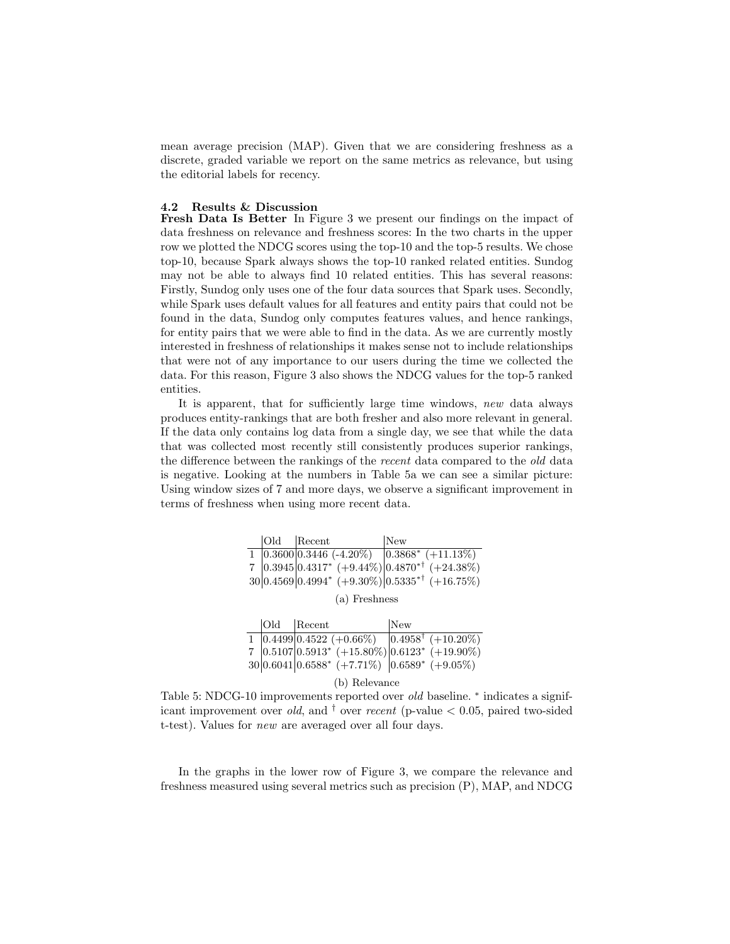mean average precision (MAP). Given that we are considering freshness as a discrete, graded variable we report on the same metrics as relevance, but using the editorial labels for recency.

#### 4.2 Results & Discussion

Fresh Data Is Better In Figure 3 we present our findings on the impact of data freshness on relevance and freshness scores: In the two charts in the upper row we plotted the NDCG scores using the top-10 and the top-5 results. We chose top-10, because Spark always shows the top-10 ranked related entities. Sundog may not be able to always find 10 related entities. This has several reasons: Firstly, Sundog only uses one of the four data sources that Spark uses. Secondly, while Spark uses default values for all features and entity pairs that could not be found in the data, Sundog only computes features values, and hence rankings, for entity pairs that we were able to find in the data. As we are currently mostly interested in freshness of relationships it makes sense not to include relationships that were not of any importance to our users during the time we collected the data. For this reason, Figure 3 also shows the NDCG values for the top-5 ranked entities.

It is apparent, that for sufficiently large time windows, new data always produces entity-rankings that are both fresher and also more relevant in general. If the data only contains log data from a single day, we see that while the data that was collected most recently still consistently produces superior rankings, the difference between the rankings of the recent data compared to the old data is negative. Looking at the numbers in Table 5a we can see a similar picture: Using window sizes of 7 and more days, we observe a significant improvement in terms of freshness when using more recent data.

|               |  | Old Recent | New                                                                                                                                                                                |  |
|---------------|--|------------|------------------------------------------------------------------------------------------------------------------------------------------------------------------------------------|--|
|               |  |            |                                                                                                                                                                                    |  |
|               |  |            | $\begin{array}{r l l} \hline 1& 0.3600& 0.3446&(-4.20\%) & 0.3868^* & (+11.13\%) \\ \hline 7& 0.3945& 0.4317^* & (+9.44\%) & 0.4870^{* \dagger} & (+24.38\%) \\\hline \end{array}$ |  |
|               |  |            | $30 0.4569 0.4994* (+9.30\%) 0.5335*^{\dagger} (+16.75\%)$                                                                                                                         |  |
| (a) Freshness |  |            |                                                                                                                                                                                    |  |

|  | Old Recent                                             | <b>New</b> |
|--|--------------------------------------------------------|------------|
|  | $1 0.4499 0.4522(+0.66\%) 0.4958^{\dagger} (+10.20\%)$ |            |
|  | 7 $ 0.5107 0.5913^*$ (+15.80%) $ 0.6123^*$ (+19.90%)   |            |
|  | $30 0.6041 0.6588* (+7.71\%)  0.6589* (+9.05\%)$       |            |

(b) Relevance

Table 5: NDCG-10 improvements reported over old baseline. \* indicates a significant improvement over *old*, and <sup>†</sup> over recent (p-value  $\lt$  0.05, paired two-sided t-test). Values for new are averaged over all four days.

In the graphs in the lower row of Figure 3, we compare the relevance and freshness measured using several metrics such as precision (P), MAP, and NDCG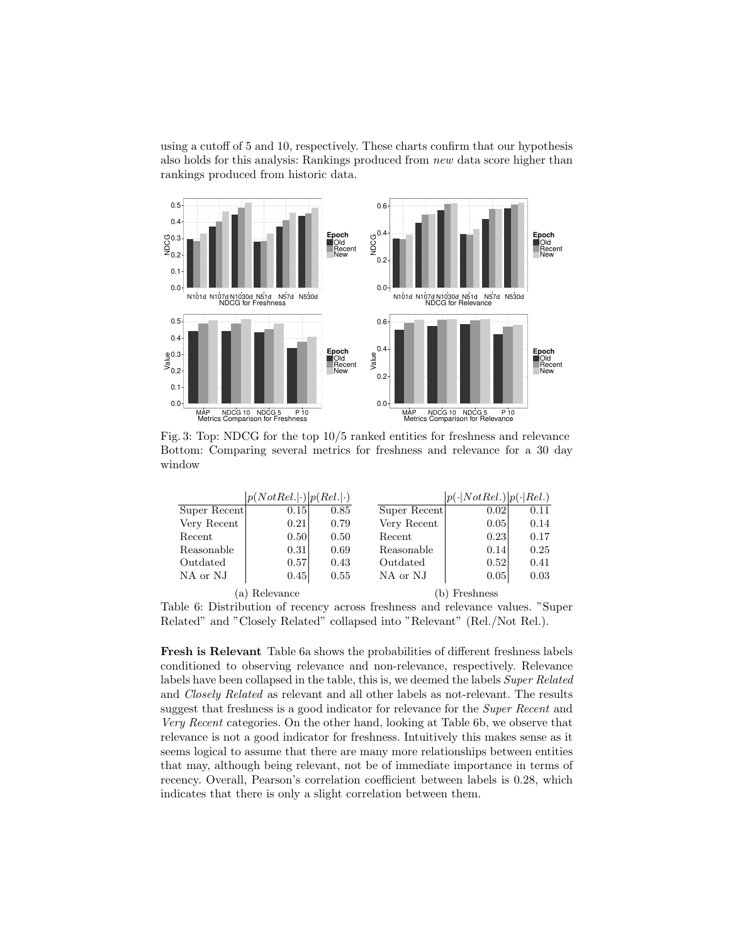using a cutoff of 5 and 10, respectively. These charts confirm that our hypothesis also holds for this analysis: Rankings produced from new data score higher than rankings produced from historic data.



Fig. 3: Top: NDCG for the top 10/5 ranked entities for freshness and relevance Bottom: Comparing several metrics for freshness and relevance for a 30 day window

|              | $\frac{p(NotRel. \cdot)}{p(Rel. \cdot)}$ |      |              | $ p(\cdot NotRel.) p(\cdot Rel.) )$ |      |
|--------------|------------------------------------------|------|--------------|-------------------------------------|------|
| Super Recent | 0.15                                     | 0.85 | Super Recent | 0.02                                | 0.11 |
| Very Recent  | 0.21                                     | 0.79 | Very Recent  | 0.05                                | 0.14 |
| Recent       | 0.50                                     | 0.50 | Recent       | 0.23                                | 0.17 |
| Reasonable   | 0.31                                     | 0.69 | Reasonable   | 0.14                                | 0.25 |
| Outdated     | 0.57                                     | 0.43 | Outdated     | 0.52                                | 0.41 |
| NA or NJ     | 0.45                                     | 0.55 | NA or NJ     | 0.05                                | 0.03 |
|              | (a) Relevance                            |      |              | b) Freshness                        |      |

Table 6: Distribution of recency across freshness and relevance values. "Super Related" and "Closely Related" collapsed into "Relevant" (Rel./Not Rel.).

Fresh is Relevant Table 6a shows the probabilities of different freshness labels conditioned to observing relevance and non-relevance, respectively. Relevance labels have been collapsed in the table, this is, we deemed the labels Super Related and Closely Related as relevant and all other labels as not-relevant. The results suggest that freshness is a good indicator for relevance for the Super Recent and Very Recent categories. On the other hand, looking at Table 6b, we observe that relevance is not a good indicator for freshness. Intuitively this makes sense as it seems logical to assume that there are many more relationships between entities that may, although being relevant, not be of immediate importance in terms of recency. Overall, Pearson's correlation coefficient between labels is 0.28, which indicates that there is only a slight correlation between them.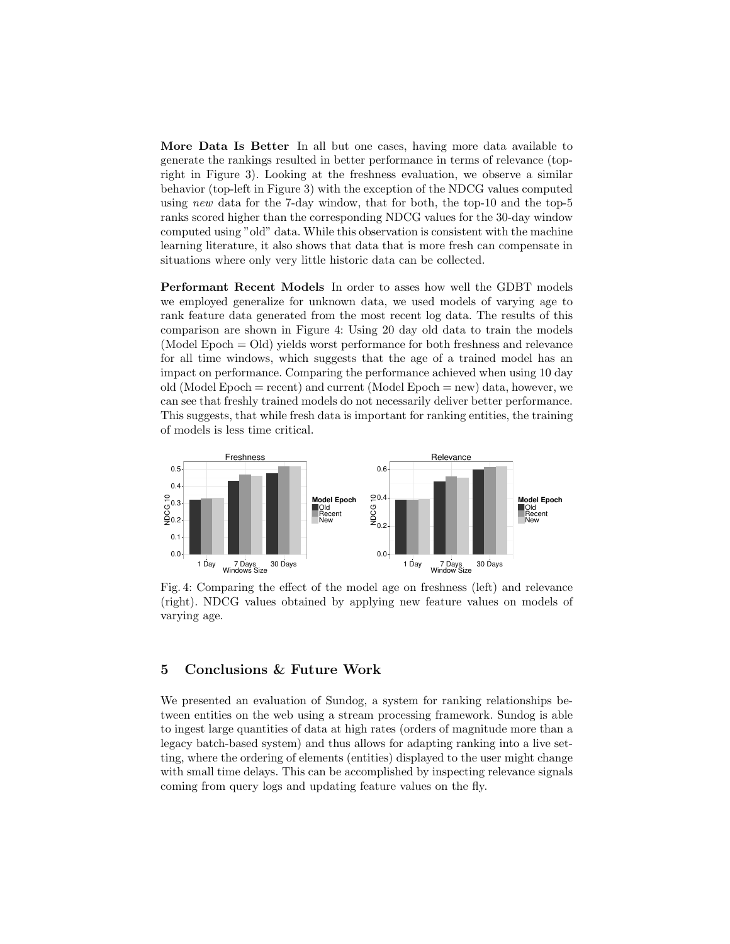More Data Is Better In all but one cases, having more data available to generate the rankings resulted in better performance in terms of relevance (topright in Figure 3). Looking at the freshness evaluation, we observe a similar behavior (top-left in Figure 3) with the exception of the NDCG values computed using new data for the 7-day window, that for both, the top-10 and the top-5 ranks scored higher than the corresponding NDCG values for the 30-day window computed using "old" data. While this observation is consistent with the machine learning literature, it also shows that data that is more fresh can compensate in situations where only very little historic data can be collected.

Performant Recent Models In order to asses how well the GDBT models we employed generalize for unknown data, we used models of varying age to rank feature data generated from the most recent log data. The results of this comparison are shown in Figure 4: Using 20 day old data to train the models (Model Epoch = Old) yields worst performance for both freshness and relevance for all time windows, which suggests that the age of a trained model has an impact on performance. Comparing the performance achieved when using 10 day old (Model Epoch = recent) and current (Model Epoch = new) data, however, we can see that freshly trained models do not necessarily deliver better performance. This suggests, that while fresh data is important for ranking entities, the training of models is less time critical.



Fig. 4: Comparing the effect of the model age on freshness (left) and relevance (right). NDCG values obtained by applying new feature values on models of varying age.

# 5 Conclusions & Future Work

We presented an evaluation of Sundog, a system for ranking relationships between entities on the web using a stream processing framework. Sundog is able to ingest large quantities of data at high rates (orders of magnitude more than a legacy batch-based system) and thus allows for adapting ranking into a live setting, where the ordering of elements (entities) displayed to the user might change with small time delays. This can be accomplished by inspecting relevance signals coming from query logs and updating feature values on the fly.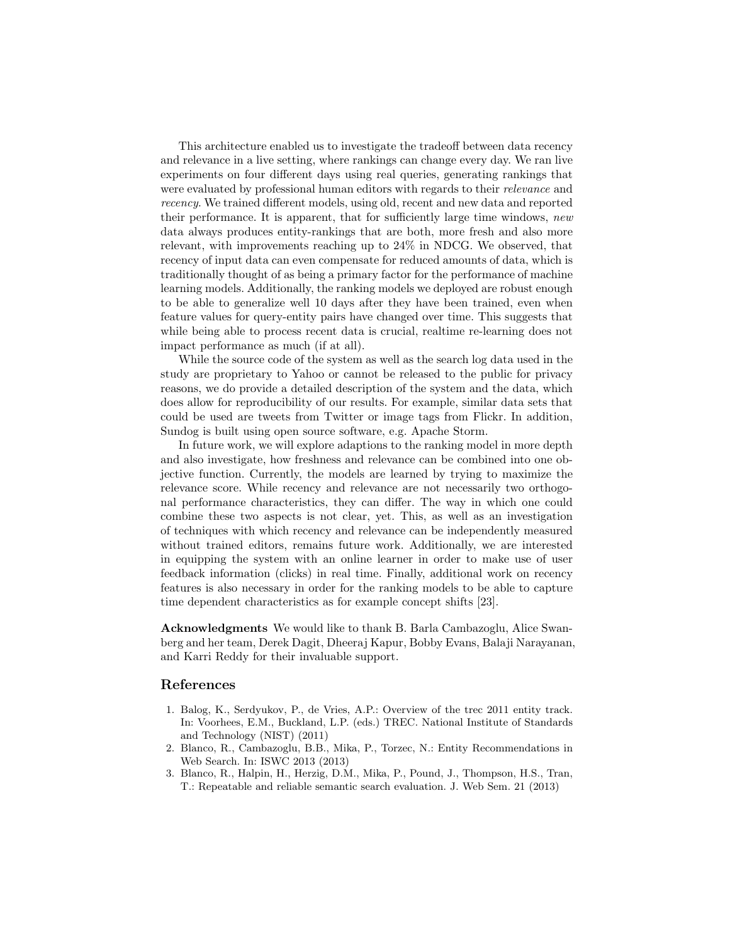This architecture enabled us to investigate the tradeoff between data recency and relevance in a live setting, where rankings can change every day. We ran live experiments on four different days using real queries, generating rankings that were evaluated by professional human editors with regards to their relevance and recency. We trained different models, using old, recent and new data and reported their performance. It is apparent, that for sufficiently large time windows, new data always produces entity-rankings that are both, more fresh and also more relevant, with improvements reaching up to 24% in NDCG. We observed, that recency of input data can even compensate for reduced amounts of data, which is traditionally thought of as being a primary factor for the performance of machine learning models. Additionally, the ranking models we deployed are robust enough to be able to generalize well 10 days after they have been trained, even when feature values for query-entity pairs have changed over time. This suggests that while being able to process recent data is crucial, realtime re-learning does not impact performance as much (if at all).

While the source code of the system as well as the search log data used in the study are proprietary to Yahoo or cannot be released to the public for privacy reasons, we do provide a detailed description of the system and the data, which does allow for reproducibility of our results. For example, similar data sets that could be used are tweets from Twitter or image tags from Flickr. In addition, Sundog is built using open source software, e.g. Apache Storm.

In future work, we will explore adaptions to the ranking model in more depth and also investigate, how freshness and relevance can be combined into one objective function. Currently, the models are learned by trying to maximize the relevance score. While recency and relevance are not necessarily two orthogonal performance characteristics, they can differ. The way in which one could combine these two aspects is not clear, yet. This, as well as an investigation of techniques with which recency and relevance can be independently measured without trained editors, remains future work. Additionally, we are interested in equipping the system with an online learner in order to make use of user feedback information (clicks) in real time. Finally, additional work on recency features is also necessary in order for the ranking models to be able to capture time dependent characteristics as for example concept shifts [23].

Acknowledgments We would like to thank B. Barla Cambazoglu, Alice Swanberg and her team, Derek Dagit, Dheeraj Kapur, Bobby Evans, Balaji Narayanan, and Karri Reddy for their invaluable support.

### References

- 1. Balog, K., Serdyukov, P., de Vries, A.P.: Overview of the trec 2011 entity track. In: Voorhees, E.M., Buckland, L.P. (eds.) TREC. National Institute of Standards and Technology (NIST) (2011)
- 2. Blanco, R., Cambazoglu, B.B., Mika, P., Torzec, N.: Entity Recommendations in Web Search. In: ISWC 2013 (2013)
- 3. Blanco, R., Halpin, H., Herzig, D.M., Mika, P., Pound, J., Thompson, H.S., Tran, T.: Repeatable and reliable semantic search evaluation. J. Web Sem. 21 (2013)